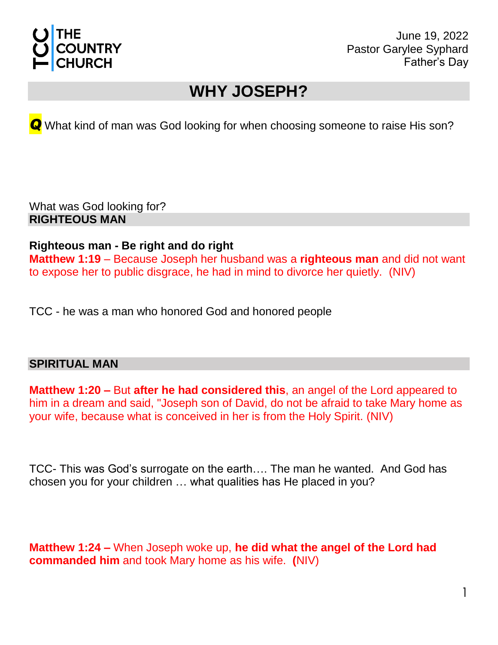

June 19, 2022 Pastor Garylee Syphard Father's Day

## **WHY JOSEPH?**

*Q* What kind of man was God looking for when choosing someone to raise His son?

What was God looking for? **RIGHTEOUS MAN**

## **Righteous man - Be right and do right**

**Matthew 1:19** – Because Joseph her husband was a **righteous man** and did not want to expose her to public disgrace, he had in mind to divorce her quietly. (NIV)

TCC - he was a man who honored God and honored people

## **SPIRITUAL MAN**

**Matthew 1:20 –** But **after he had considered this**, an angel of the Lord appeared to him in a dream and said, "Joseph son of David, do not be afraid to take Mary home as your wife, because what is conceived in her is from the Holy Spirit. (NIV)

TCC- This was God's surrogate on the earth…. The man he wanted. And God has chosen you for your children … what qualities has He placed in you?

**Matthew 1:24 –** When Joseph woke up, **he did what the angel of the Lord had commanded him** and took Mary home as his wife. **(**NIV)